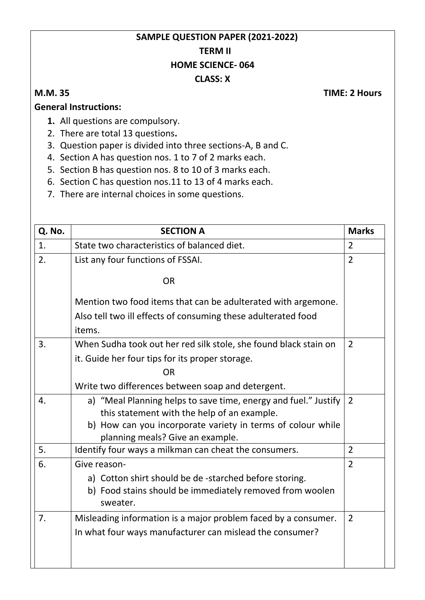## **SAMPLE QUESTION PAPER (2021-2022) TERM II HOME SCIENCE- 064 CLASS: X**

**M.M. 35 TIME: 2 Hours**

## **General Instructions:**

- **1.** All questions are compulsory.
- 2. There are total 13 questions**.**
- 3. Question paper is divided into three sections-A, B and C.
- 4. Section A has question nos. 1 to 7 of 2 marks each.
- 5. Section B has question nos. 8 to 10 of 3 marks each.
- 6. Section C has question nos.11 to 13 of 4 marks each.
- 7. There are internal choices in some questions.

| Q. No.           | <b>SECTION A</b>                                                                                                                                                                                                  | <b>Marks</b>   |
|------------------|-------------------------------------------------------------------------------------------------------------------------------------------------------------------------------------------------------------------|----------------|
| 1.               | State two characteristics of balanced diet.                                                                                                                                                                       | $\overline{2}$ |
| 2.               | List any four functions of FSSAI.                                                                                                                                                                                 | $\overline{2}$ |
|                  | <b>OR</b>                                                                                                                                                                                                         |                |
|                  | Mention two food items that can be adulterated with argemone.                                                                                                                                                     |                |
|                  | Also tell two ill effects of consuming these adulterated food                                                                                                                                                     |                |
|                  | items.                                                                                                                                                                                                            |                |
| 3.               | When Sudha took out her red silk stole, she found black stain on                                                                                                                                                  | $\overline{2}$ |
|                  | it. Guide her four tips for its proper storage.                                                                                                                                                                   |                |
|                  | <b>OR</b>                                                                                                                                                                                                         |                |
|                  | Write two differences between soap and detergent.                                                                                                                                                                 |                |
| $\overline{4}$ . | a) "Meal Planning helps to save time, energy and fuel." Justify<br>this statement with the help of an example.<br>b) How can you incorporate variety in terms of colour while<br>planning meals? Give an example. | 2              |
| 5.               | Identify four ways a milkman can cheat the consumers.                                                                                                                                                             | $\overline{2}$ |
| 6.               | Give reason-<br>a) Cotton shirt should be de -starched before storing.<br>b) Food stains should be immediately removed from woolen<br>sweater.                                                                    | $\overline{2}$ |
| 7.               | Misleading information is a major problem faced by a consumer.<br>In what four ways manufacturer can mislead the consumer?                                                                                        | $\overline{2}$ |